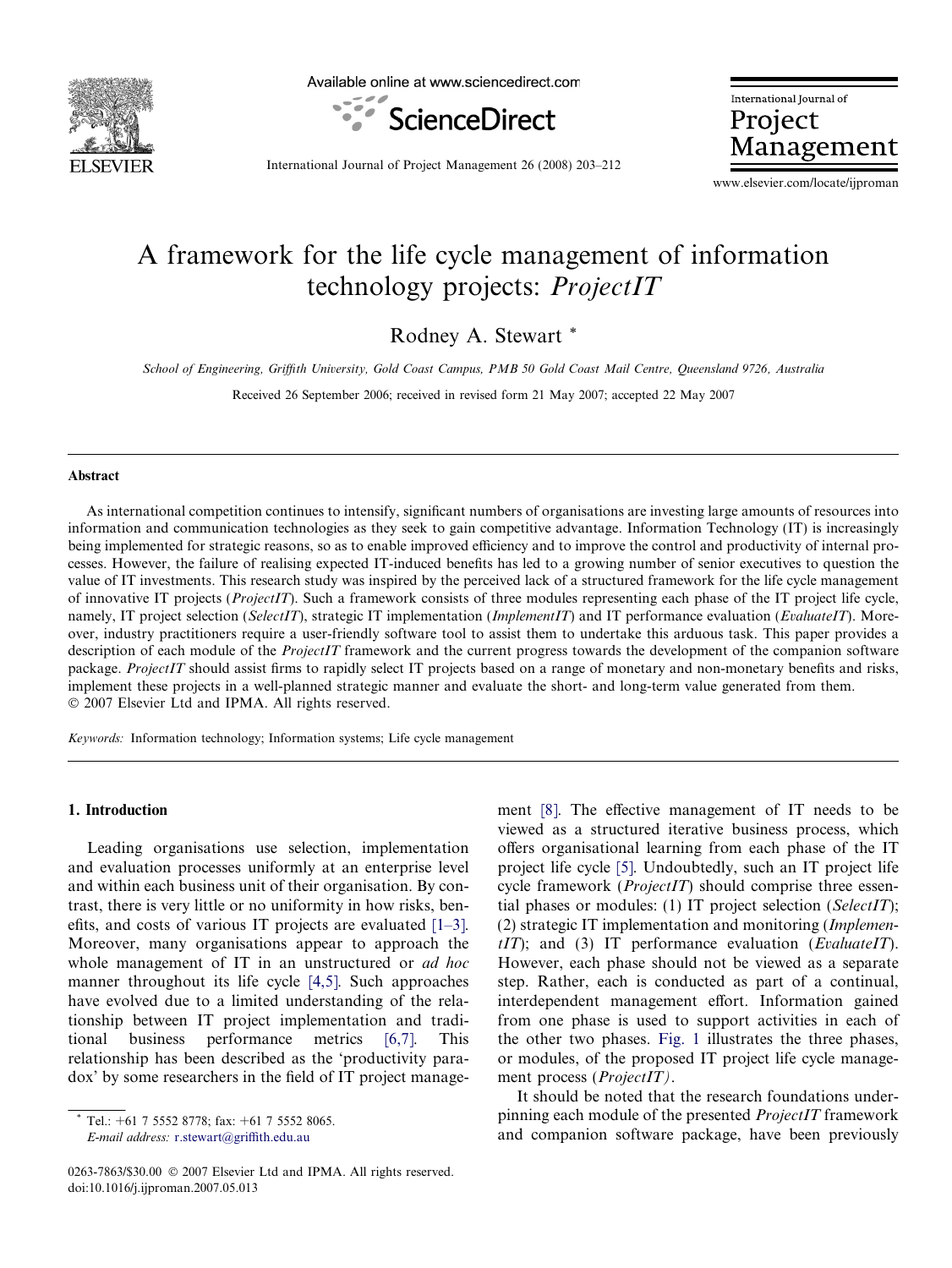

Available online at www.sciencedirect.com



International Journal of Project Management

International Journal of Project Management 26 (2008) 203–212

www.elsevier.com/locate/ijproman

# A framework for the life cycle management of information technology projects: *ProjectIT*

Rodney A. Stewart \*

School of Engineering, Griffith University, Gold Coast Campus, PMB 50 Gold Coast Mail Centre, Queensland 9726, Australia

Received 26 September 2006; received in revised form 21 May 2007; accepted 22 May 2007

#### Abstract

As international competition continues to intensify, significant numbers of organisations are investing large amounts of resources into information and communication technologies as they seek to gain competitive advantage. Information Technology (IT) is increasingly being implemented for strategic reasons, so as to enable improved efficiency and to improve the control and productivity of internal processes. However, the failure of realising expected IT-induced benefits has led to a growing number of senior executives to question the value of IT investments. This research study was inspired by the perceived lack of a structured framework for the life cycle management of innovative IT projects (ProjectIT). Such a framework consists of three modules representing each phase of the IT project life cycle, namely, IT project selection (SelectIT), strategic IT implementation (ImplementIT) and IT performance evaluation (EvaluateIT). Moreover, industry practitioners require a user-friendly software tool to assist them to undertake this arduous task. This paper provides a description of each module of the *ProjectIT* framework and the current progress towards the development of the companion software package. ProjectIT should assist firms to rapidly select IT projects based on a range of monetary and non-monetary benefits and risks, implement these projects in a well-planned strategic manner and evaluate the short- and long-term value generated from them. - 2007 Elsevier Ltd and IPMA. All rights reserved.

Keywords: Information technology; Information systems; Life cycle management

### 1. Introduction

Leading organisations use selection, implementation and evaluation processes uniformly at an enterprise level and within each business unit of their organisation. By contrast, there is very little or no uniformity in how risks, benefits, and costs of various IT projects are evaluated [\[1–3\].](#page--1-0) Moreover, many organisations appear to approach the whole management of IT in an unstructured or *ad hoc* manner throughout its life cycle [\[4,5\]](#page--1-0). Such approaches have evolved due to a limited understanding of the relationship between IT project implementation and traditional business performance metrics [\[6,7\].](#page--1-0) This relationship has been described as the 'productivity paradox' by some researchers in the field of IT project manage-

E-mail address: [r.stewart@griffith.edu.au](mailto:r.stewart@griffith.edu.au)

ment [\[8\].](#page--1-0) The effective management of IT needs to be viewed as a structured iterative business process, which offers organisational learning from each phase of the IT project life cycle [\[5\]](#page--1-0). Undoubtedly, such an IT project life cycle framework (ProjectIT) should comprise three essential phases or modules: (1) IT project selection ( $SelectIT$ ); (2) strategic IT implementation and monitoring (Implemen $tIT$ ); and (3) IT performance evaluation (EvaluateIT). However, each phase should not be viewed as a separate step. Rather, each is conducted as part of a continual, interdependent management effort. Information gained from one phase is used to support activities in each of the other two phases. [Fig. 1](#page-1-0) illustrates the three phases, or modules, of the proposed IT project life cycle management process (*ProjectIT*).

It should be noted that the research foundations underpinning each module of the presented ProjectIT framework and companion software package, have been previously

Tel.:  $+61$  7 5552 8778; fax:  $+61$  7 5552 8065.

<sup>0263-7863/\$30.00 © 2007</sup> Elsevier Ltd and IPMA. All rights reserved. doi:10.1016/j.ijproman.2007.05.013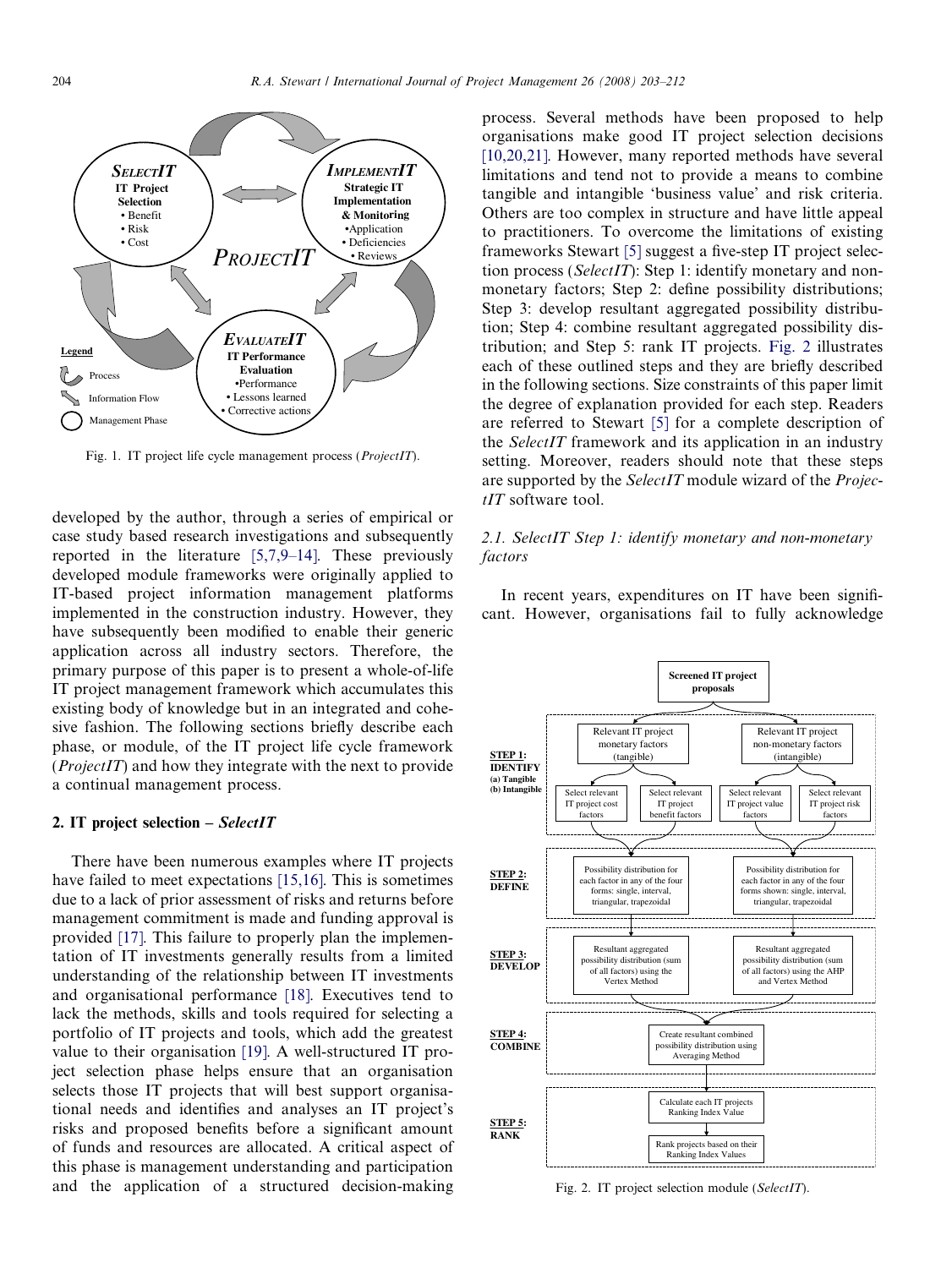<span id="page-1-0"></span>

Fig. 1. IT project life cycle management process (ProjectIT).

developed by the author, through a series of empirical or case study based research investigations and subsequently reported in the literature [\[5,7,9–14\]](#page--1-0). These previously developed module frameworks were originally applied to IT-based project information management platforms implemented in the construction industry. However, they have subsequently been modified to enable their generic application across all industry sectors. Therefore, the primary purpose of this paper is to present a whole-of-life IT project management framework which accumulates this existing body of knowledge but in an integrated and cohesive fashion. The following sections briefly describe each phase, or module, of the IT project life cycle framework  $(ProjectIT)$  and how they integrate with the next to provide a continual management process.

#### 2. IT project selection  $-$  *SelectIT*

There have been numerous examples where IT projects have failed to meet expectations [\[15,16\].](#page--1-0) This is sometimes due to a lack of prior assessment of risks and returns before management commitment is made and funding approval is provided [\[17\]](#page--1-0). This failure to properly plan the implementation of IT investments generally results from a limited understanding of the relationship between IT investments and organisational performance [\[18\].](#page--1-0) Executives tend to lack the methods, skills and tools required for selecting a portfolio of IT projects and tools, which add the greatest value to their organisation [\[19\].](#page--1-0) A well-structured IT project selection phase helps ensure that an organisation selects those IT projects that will best support organisational needs and identifies and analyses an IT project's risks and proposed benefits before a significant amount of funds and resources are allocated. A critical aspect of this phase is management understanding and participation and the application of a structured decision-making

process. Several methods have been proposed to help organisations make good IT project selection decisions [\[10,20,21\]](#page--1-0). However, many reported methods have several limitations and tend not to provide a means to combine tangible and intangible 'business value' and risk criteria. Others are too complex in structure and have little appeal to practitioners. To overcome the limitations of existing frameworks Stewart [\[5\]](#page--1-0) suggest a five-step IT project selection process (SelectIT): Step 1: identify monetary and nonmonetary factors; Step 2: define possibility distributions; Step 3: develop resultant aggregated possibility distribution; Step 4: combine resultant aggregated possibility distribution; and Step 5: rank IT projects. Fig. 2 illustrates each of these outlined steps and they are briefly described in the following sections. Size constraints of this paper limit the degree of explanation provided for each step. Readers are referred to Stewart [\[5\]](#page--1-0) for a complete description of the SelectIT framework and its application in an industry setting. Moreover, readers should note that these steps are supported by the SelectIT module wizard of the ProjectIT software tool.

### 2.1. SelectIT Step 1: identify monetary and non-monetary factors

In recent years, expenditures on IT have been significant. However, organisations fail to fully acknowledge



Fig. 2. IT project selection module (SelectIT).